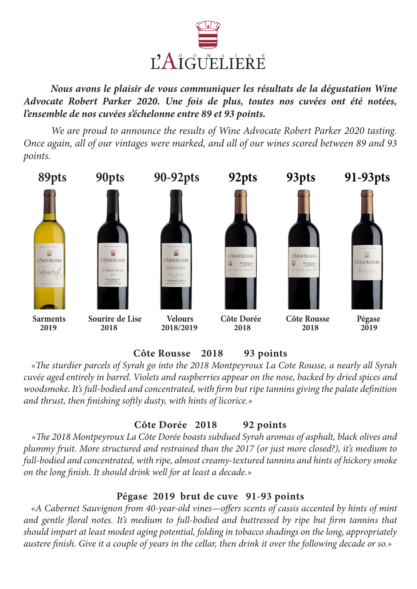

 *Nous avons le plaisir de vous communiquer les résultats de la dégustation Wine Advocate Robert Parker 2020. Une fois de plus, toutes nos cuvées ont été notées, l'ensemble de nos cuvées s'échelonne entre 89 et 93 points.* 

 *We are proud to announce the results of Wine Advocate Robert Parker 2020 tasting. Once again, all of our vintages were marked, and all of our wines scored between 89 and 93 points.*



# **Côte Rousse 2018 93 points**

 *«The sturdier parcels of Syrah go into the 2018 Montpeyroux La Cote Rousse, a nearly all Syrah cuvée aged entirely in barrel. Violets and raspberries appear on the nose, backed by dried spices and woodsmoke. It's full-bodied and concentrated, with firm but ripe tannins giving the palate definition and thrust, then finishing softly dusty, with hints of licorice.»*

# **Côte Dorée 2018 92 points**

 *«The 2018 Montpeyroux La Côte Dorée boasts subdued Syrah aromas of asphalt, black olives and plummy fruit. More structured and restrained than the 2017 (or just more closed?), it's medium to full-bodied and concentrated, with ripe, almost creamy-textured tannins and hints of hickory smoke on the long finish. It should drink well for at least a decade.»*

# **Pégase 2019 brut de cuve 91-93 points**

 *«A Cabernet Sauvignon from 40-year-old vines—offers scents of cassis accented by hints of mint and gentle floral notes. It's medium to full-bodied and buttressed by ripe but firm tannins that should impart at least modest aging potential, folding in tobacco shadings on the long, appropriately austere finish. Give it a couple of years in the cellar, then drink it over the following decade or so.»*